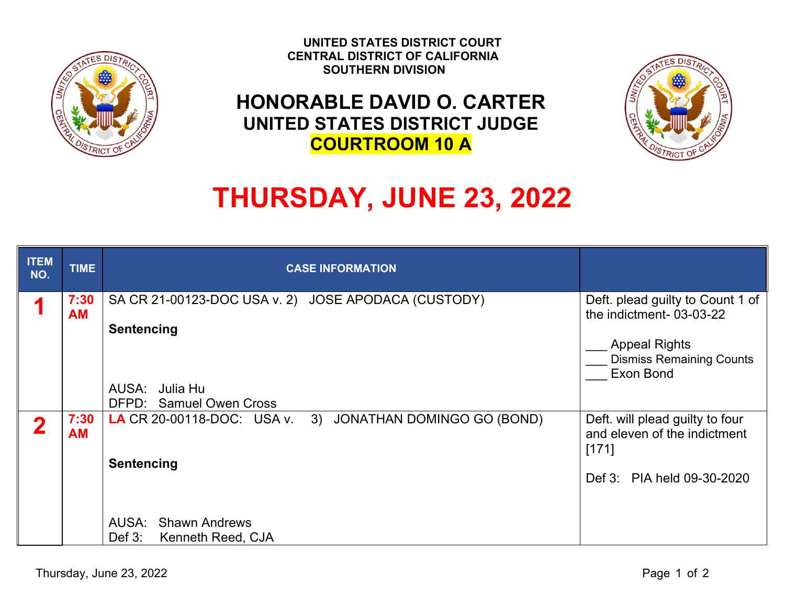

 **UNITED STATES DISTRICT COURT CENTRAL DISTRICT OF CALIFORNIA SOUTHERN DIVISION**

## **HONORABLE DAVID O. CARTER UNITED STATES DISTRICT JUDGE COURTROOM 10 A**



## **THURSDAY, JUNE 23, 2022**

| <b>ITEM</b><br>NO. | <b>TIME</b>       | <b>CASE INFORMATION</b>                                                                                                                |                                                                                                                                     |
|--------------------|-------------------|----------------------------------------------------------------------------------------------------------------------------------------|-------------------------------------------------------------------------------------------------------------------------------------|
|                    | 7:30<br><b>AM</b> | SA CR 21-00123-DOC USA v. 2) JOSE APODACA (CUSTODY)<br><b>Sentencing</b><br>AUSA: Julia Hu<br>DFPD: Samuel Owen Cross                  | Deft. plead guilty to Count 1 of<br>the indictment-03-03-22<br><b>Appeal Rights</b><br><b>Dismiss Remaining Counts</b><br>Exon Bond |
| ŋ                  | 7:30<br><b>AM</b> | LA CR 20-00118-DOC: USA v.<br>3) JONATHAN DOMINGO GO (BOND)<br><b>Sentencing</b><br>AUSA: Shawn Andrews<br>Kenneth Reed, CJA<br>Def 3: | Deft. will plead guilty to four<br>and eleven of the indictment<br>[171]<br>Def 3: PIA held 09-30-2020                              |